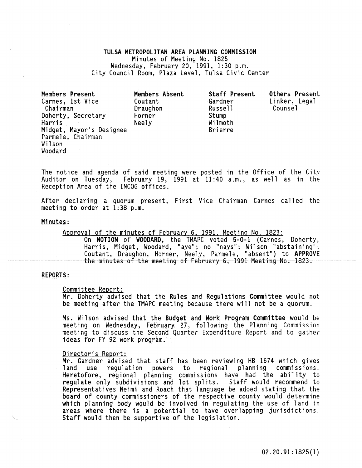TULSA METROPOLITAN AREA PLANNING COMMISSION Minutes of Meeting No. 1825<br>Wednesday, February 20, 1991, 1:30 p.m. City Council Room, Plaza Level, Tulsa Civic Center

| Members Present<br>Carnes, 1st Vice<br>Chairman<br>Doherty, Secretary<br>Harris<br>Midget, Mayor's Designee<br>Parmele, Chairman<br>Wilson | Members Absent<br>Coutant<br>Draughon<br>Horner<br>Neely | Staff Present<br>Gardner<br>Russell<br>Stump<br>Wilmoth<br><b>Brierre</b> | Others Present<br>Linker, Legal<br>Counsel |
|--------------------------------------------------------------------------------------------------------------------------------------------|----------------------------------------------------------|---------------------------------------------------------------------------|--------------------------------------------|
| Woodard                                                                                                                                    |                                                          |                                                                           |                                            |

The notice and agenda of said meeting were posted in the Office of the City Auditor on Tuesday, February 19, 1991 at 11:40 a.m., as well as in the Reception Area of the INCOG offices.

After declaring a quorum present, First Vice Chairman Carnes called the meeting to order at 1:38 p.m.

#### Minutes:

Approval of the minutes of February 6, 1991, Meeting No. 1823:

On MOTION of WOODARD, the TMAPC voted 5-0-1 (Carnes, Doherty, Harris, Midget, Woodard, "aye"; no "nays"; Wilson "abstaining"; Coutant, Draughon, Horner, Neely, Parmele, "absent ") to APPROVE the minutes of the meeting of February 6, 1991 Meeting No. 1823.

## REPORTS:

Committee Report:<br>Mr. Doherty advised that the Rules and Regulations Committee would not be meeting after the TMAPC meeting because there will not be a quorum.

Ms. Wilson advised that the Budget and Work Program Committee would be meeting on Wednesday, February 27, following the Planning Commission meeting to discuss the Second Quarter Expenditure Report and to gather ideas for FY 92 work program.

<u>Director's Report:</u><br>Mr. Gardner advised that staff has been reviewing HB 1674 which gives<br>land use regulation powers to regional planning commissions. Heretofore, regional planning commissions have had the ability to regulate only subdivisions and lot splits. Staff would recommend to Representatives Neimi and Roach that language be added stating that the board of county commissioners of the respective county would determine which planning body would be involved in regulating the use of land in areas where there is a potential to have overlapping jurisdictions. Staff would then be supportive of the legislation.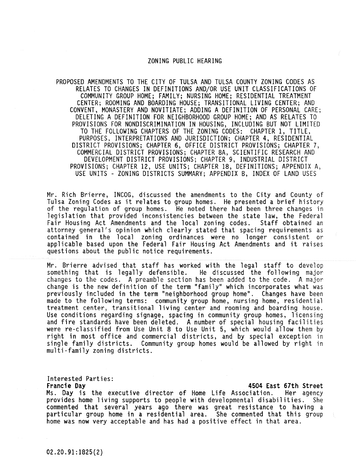#### ZONING PUBLIC HEARING

PROPOSED AMENDMENTS TO THE CITY OF TULSA AND TULSA COUNTY ZONING CODES AS RELATES TO CHANGES IN DEFINITIONS AND/OR USE UNIT CLASSIFICATIONS OF COMMUNITY GROUP HOME; FAMILY; NURSING HOME; RESIDENTIAL TREATMENT CENTER; ROOMING AND BOARDING HOUSE; TRANSITIONAL LIVING CENTER; AND CONVENT, MONASTERY AND NOVITIATE; ADDING A DEFINITION OF PERSONAL CARE; DELETING A DEFINITION FOR NEIGHBORHOOD GROUP HOME; AND AS RELATES TO PROVISIONS FOR NONDISCRIMINATION IN HOUSING, INCLUDING BUT NOT LIMITED TO THE FOLLOWING CHAPTERS OF THE ZONING CODES: CHAPTER 1, TITLE, PURPOSES, INTERPRETATIONS AND JURISDICTION; CHAPTER 4, RESIDENTIAL DISTRICT PROVISIONS; CHAPTER 6, OFFICE DISTRICT PROVISIONS; CHAPTER 7, COMMERCIAL DISTRiCT PROVISIONS; CHAPTER 8A, SCIENTIFIC RESEARCH AND DEVELOPMENT DISTRICT PROVISIONS; CHAPTER 9, INDUSTRIAL DISTRICT PROVISIONS; CHAPTER 12, USE UNITS; CHAPTER 18, DEFINITIONS; APPENDIX A, USE UNITS - ZONING DISTRICTS SUMMARY; APPENDIX B, INDEX OF LAND USES

Mr. Rich Brierre, INCOG, discussed the amendments to the City and County of<br>Tulsa Zoning Codes as it relates to group homes. He presented a brief history of the regulation of group homes. He noted there had been three changes in legislation that provided inconsistencies between the state law, the Federal<br>Fair Housing Act Amendments and the local zoning codes. Staff obtained an Fair Housing Act Amendments and the local zoning codes. attorney general's opinion which clearly stated that spacing requirements as contained in the local zoning ordinances were no longer consistent or applicable based upon the Federal Fair Housing Act Amendments and it raises questions about the public notice requirements.

Mr. Brierre advised that staff has worked with the legal staff to develop<br>something that is legally defensible. He discussed the following major<br>changes to the codes. A preamble section has been added to the code. A major<br> previously included in the term "neighborhood group home". Changes have been made to the following terms: community group home, nursing home, residential treatment center, transitional living center and rooming and boarding house. Use conditions regarding signage, spacing in community group homes, licensing and fire standards have been deleted. A number of special housing facilities were re-classified from Use Unit 8 to Use Unit 5, which would allow right in most office and commercial districts, and by special exception in single family districts. Community group homes would be allowed by right in multi-family zoning districts.

Interested Parties:<br>Francie Day

## 4504 East 67th Street

Ms. Day is the executive director of Home Life Association. Her agency provides home living supports to peopie with developmental disabilities. She commented that several years ago there was great resistance to having a particular group home in a residential area. She commented that this group home was now very acceptable and has had a positive effect in that area.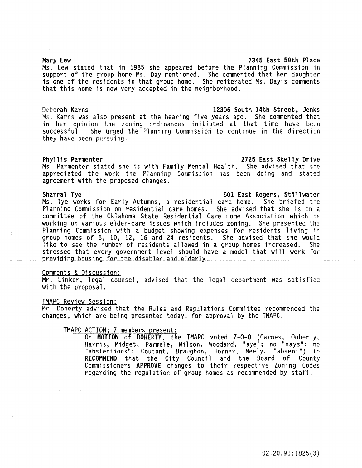## Mary Lew 7345 East 58th Place

Ms. Lew stated that in 1985 she appeared before the Planning Commission in support of the group home Ms. Day mentioned. She commented that her daughter is one of the residents in that group home. She reiterated Ms. Day's comments that this home is now very accepted in the neighborhood.

## Deborah Karns 12306 South 14th Street, Jenks

Ms. Karns was also present at the hearing five years ago. She commented that in her opinion the zoning ordinances initiated at that time have been successful. She urged the Planning Commission to continue in the direction they have been pursuing.

## Phyllis Parmenter 2725 East Skelly Drive

Ms. Parmenter stated she is with Family Mental Health. She advised that she appreciated the work the Planning Commission has been doing and stated agreement with the proposed changes.

Sharral Tye 501 East Rogers, Stillwater Ms. Tye works for Early Autumns, a residential care home. She briefed the Planning Commission on residential care homes. She advised that she is on a committee of the Oklahoma State Residential Care Home Association which is working on various elder-care issues which includes zoning. She presented the Planning Commission with a budget showing expenses for residents living in group homes of 6, 10, 12, 16 and 24 residents. She advised that she would<br>like to see the number of residents allowed in a group homes increased. She like to see the number of residents allowed in a group homes increased. stressed that every government level should have a model that will work for providing housing for the disabled and elderly.

## Comments & Discussion:

Mr. Linker, legal counsel, advised that the legal department was satisfied with the proposal.

## TMAPC Review Session:

Mr. Doherty advised that the Rules and Regulations Committee recommended the changes, which are being presented today, for approval by the TMAPC.

TMAPC ACTION; 7 members present:<br>On MOTION of DOHERTY, the TMAPC voted 7-0-0 (Carnes, Doherty, On **MOTION** of **DOHERTY**, the TMAPC voted <mark>7-0-0</mark> (Carnes, Doherty,<br>Harris, Midget, Parmele, Wilson, Woodard, "aye"; no "nays"; no "abstentions"; Coutant, Draughon, Horner, Neely, "absent") to RECOMMEND that the City Council and the Board of County Commissioners APPROVE changes to their respective Zoning Codes regarding the regulation of group homes as recommended by staff.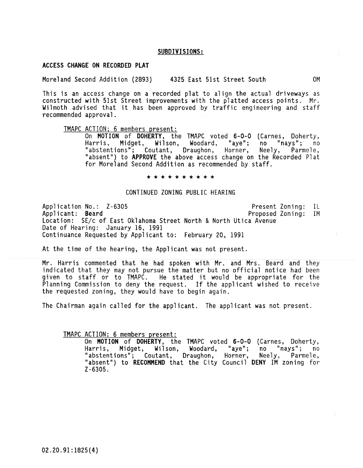#### SUBDIVISIONS:

#### ACCESS CHANGE ON RECORDED PLAT

Moreland Second Addition (2893) 4325 East 51st Street South OM

This is an access change on a recorded plat to align the actual driveways as constructed with 51st Street improvements with the platted access points. Mr. Wilmoth advised that it has been approved by traffic engineering and staff recommended approval.

TMAPC ACTION; 6 members present:<br>On MOTION of DOHERTY, the TMAPC voted 6-0-0 (Carnes, Doherty, Harris, Midget, Wilson, Woodard, "aye"; no "nays"; no<br>"abstentions"; Coutant, Draughon, Horner, Neely, Parmele, "abstentions"; Coutant, Draughon, Horner, "absent") to APPROVE the above access change on the Recorded Plat for Moreland Second Addition as recommended by staff.

#### \* \* \* \* \* \* \* \*

#### CONTINUED ZONING PUBLIC HEARING

Application No.: Z-630S Applicant: Beard Present Zoning: Proposed Zoning: 1M Location: SE/c of East Oklahoma Street North & North Utica Avenue Date of Hearing: January 16, 1991 Continuance Requested by Applicant to: February 20, 1991 IL

At the time of the hearing, the Applicant was not present.

Mr. Harris commented that he had spoken with Mr. and Mrs. Beard and they indicated that they may not pursue the matter but no official notice had been given to staff or to TMAPC. He stated it would be appropriate for the Planning Commission to deny the request. If the applicant wished to receive the requested zoning, they would have to begin again.

The Chairman again called for the applicant. The applicant was not present.

TMAPC ACTION; 6 members present:<br>On MOTION of DOHERTY, the TMAPC voted 6-0-0 (Carnes, Doherty, Harris, Midget, Wilson, Woodard, "aye"; no "nays"; no "abstentions"; Coutant, Draughon, Horner, Neely, Parmele, "absent") to RECOMMEND that the City Council DENY 1M zoning for Z-630S.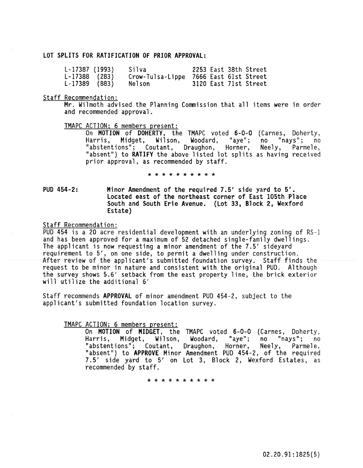#### lOT SPLITS FOR RATIFICATION OF PRIOR APPROVAL:

| $L-17387$ (1993) | Silva                                  |  | 2253 East 38th Street |
|------------------|----------------------------------------|--|-----------------------|
| $L-17388$ (283)  | Crow-Tulsa-Lippe 7666 East 61st Street |  |                       |
| $L-17389$ (883)  | Nelson                                 |  | 3120 East 71st Street |

#### Staff Recommendation:

Mr. Wilmoth advised the Planning Commission that all items were in order and recommended approval.

#### TMAPC ACTION; 6 members present:

On MOTION of DOHERTY, the TMAPC voted 6-0-0 (Carnes, Doherty, Harris, Midget, Wilson, Woodard, "aye";<br>"abstentions"; Coutant, Draughon, Horner, "absent") to RATIFY the above listed lot splits prior approval, as recommended by staff. no "nays"; no Neely, Parmele, as having received

\* \* \* \* \* \* \* \* \* \*

PUD 454-2: Minor Amendment of the required 7.5' side yard to 5'. located east of the northeast corner of East 105th Place South and South Erie Avenue. (Lot 33, Block 2, Wexford Estate)

Staff Recommendation:

PUD 454 is a 20 acre residential development with an underlying zoning of RS-1<br>and has been approved for a maximum of 52 detached single-family dwellings. The applicant is now requesting a minor amendment of the 7.5' sideyard requirement to 5', on one side, to permit a dwelling under construction. After review of the applicant's submitted foundation survey. Staff finds the request to be minor in nature and consistent with the original PUD. Although the survey shows 5.6' setback from the east property line, the brick exterior will utilize the additional 6'

Staff recommends APPROVAL of minor amendment PUD 454-2, subject to the applicant's submitted foundation location survey.

## TMAPC ACTION; 6 members present:

On MOTION of MIDGET, the TMAPC voted 6-0-0 (Carnes, Doherty, Harris, Midget, Wilson, Woodard, "aye"; no "nays"; no "abstentions"; Coutant, Draughon, Horner, Neely, Parmele, "absent") to APPROVE Minor Amendment PUD 454-2, of the required<br>7.5' side yard to 5' on Lot 3, Block 2, Wexford Estates, as 7.5' side yard to 5' on Lot 3, Block 2, Wexford Estates, as recommended by staff.

\* \* \* \* \* \* \* \* \* \*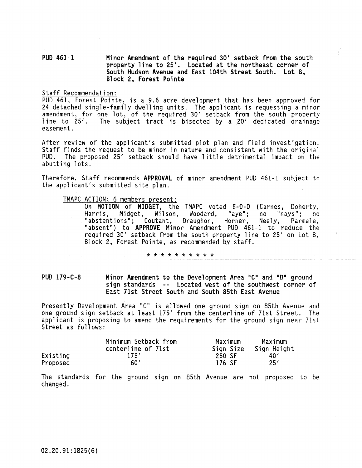## PUD 461-1 Minor Amendment of the required 30' setbacK from the south property line to 25'. Located at the northeast corner of South Hudson Avenue and East 104th Street South. Lot 8, BloCK 2, Forest Pointe

#### Staff Recommendation:

PUD 461, Forest Pointe, is a 9.6 acre development that has been approved for 24 detached single-family dwelling units. The applicant is requesting a minor amendment, for one lot, of the required 30' setback from the south property line to 25'. The subject tract is bisected by a 20' dedicated drainage easement.

After review of the applicant's submitted plot plan and field investigation, Staff finds the request to be minor in nature and consistent with the original PUD. The proposed 25' setback should have little detrimental impact on the abutting lots.

Therefore, Staff recommends APPROVAL of minor amendment PUD 461-1 subject to the applicant's submitted site plan.

# TMAPC ACTION; 6 members present:

On **MOTION** of **MIDGET**, the TMAPC voted 6-0-0 (Carnes, Doherty,<br>Harris, Midget, Wilson, Woodard, "aye"; no "nays"; no<br>"abstentions"; Coutant, Draughon, Horner, Neely, Parmele, "abstentions"; Coutant, Draughon, "absent") to APPROVE Minor Amendment PUD 461-1 to reduce the required 30' setback from the south property line to 25' on Lot 8, Block 2, Forest Pointe, as recommended by staff.

#### \* \* \* \* \* \* \* \* \* \*

PUD 179-C-8 Minor Amendment to the Development Area "C" and "D" ground sign standards -- Located west of the southwest corner of East 7Ist Street South and South 85th East Avenue

Presently Development Area "C" is allowed one ground sign on 85th Avenue and one ground sign setback at least 175' from the centerline of 71st Street. The applicant is proposing to amend the requirements for the ground sign near ?lst Street as follows:

|          | Minimum Setback from | Maximum | Maximum               |  |
|----------|----------------------|---------|-----------------------|--|
|          | centerline of 71st   |         | Sign Size Sign Height |  |
| Existing | 175'                 | 250 SF  | 40'                   |  |
| Proposed | 60'                  | 176 SF  | 25'                   |  |

The standards for the ground sign on 85th Avenue are not proposed to be changed.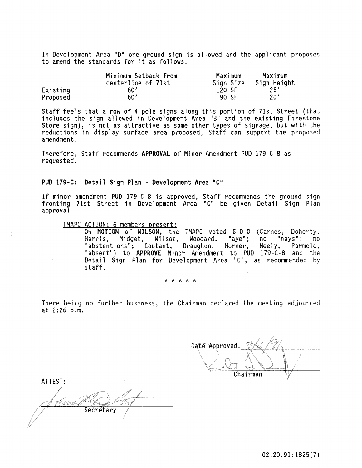In Development Area "D" one ground sign is allowed and the applicant proposes to amend the standards for it as follows:

|          | Minimum Setback from | Maximum   | Maximum     |
|----------|----------------------|-----------|-------------|
|          | centerline of 71st   | Sign Size | Sign Height |
| Existing | 60'                  | 120 SF    | 25'         |
| Proposed | 60'                  | 90 SF     | 20'         |

Staff feels that a row of 4 pole signs along this portion of 71st Street (that includes the sign allowed in Development Area "8" and the existing Firestone Store sign), is not as attractive as some other types of signage, but with the reductions in display surface area proposed, Staff can support the proposed amendment.

Therefore, Staff recommends APPROVAL of Minor Amendment PUD 179-C-8 as requested.

PUD 179-C: Detail Sign Plan - Development Area "C"

If minor amendment PUD 179-C-8 is approved, Staff recommends the ground sign fronting 71st Street in Development Area "e" be given Detail Sign Plan approval.

TMAPC ACTION; 6 members present: On MOTION of WILSON, the TMAPC voted 6-0-0 (Carnes, Doherty, Harris, Midget, Wilson, Woodard, "aye"; no "nays"; no "abstentions"; Coutant, Draughon, Horner, Neely, Parmele, "absent") to APPROVE Minor Amendment to PUD 179-C-8 and the Detail Sign Plan for Development Area "C", as recommended by staff.

'\* '\* '\* '\* '\*

There being no further business, the Chairman declared the meeting adjourned at 2:26 p.m.

 $D$ ate Approved:  $\frac{1}{2}$ Chairman

ATTEST: Wer. Secretary